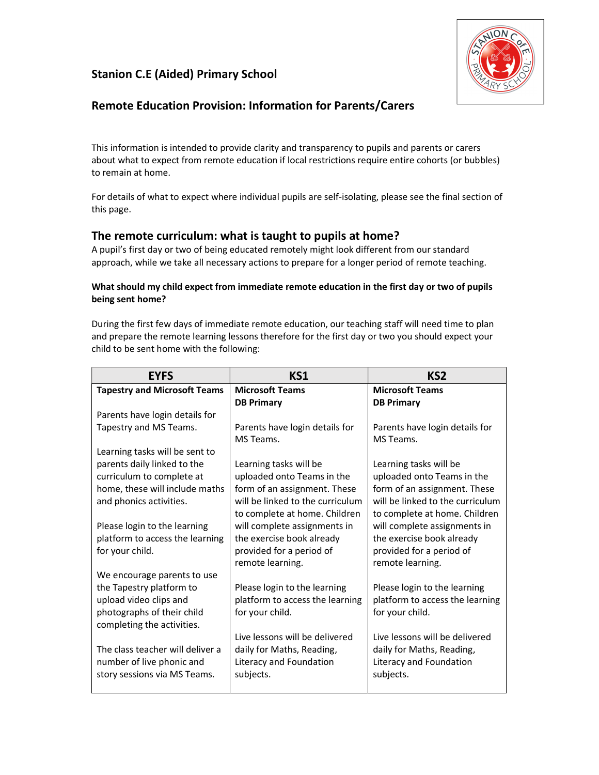# Stanion C.E (Aided) Primary School



# Remote Education Provision: Information for Parents/Carers

This information is intended to provide clarity and transparency to pupils and parents or carers about what to expect from remote education if local restrictions require entire cohorts (or bubbles) to remain at home.

For details of what to expect where individual pupils are self-isolating, please see the final section of this page.

## The remote curriculum: what is taught to pupils at home?

A pupil's first day or two of being educated remotely might look different from our standard approach, while we take all necessary actions to prepare for a longer period of remote teaching.

#### What should my child expect from immediate remote education in the first day or two of pupils being sent home?

During the first few days of immediate remote education, our teaching staff will need time to plan and prepare the remote learning lessons therefore for the first day or two you should expect your child to be sent home with the following:

| <b>EYFS</b>                         | KS1                              | KS <sub>2</sub>                  |
|-------------------------------------|----------------------------------|----------------------------------|
| <b>Tapestry and Microsoft Teams</b> | <b>Microsoft Teams</b>           | <b>Microsoft Teams</b>           |
|                                     | <b>DB Primary</b>                | <b>DB Primary</b>                |
| Parents have login details for      |                                  |                                  |
| Tapestry and MS Teams.              | Parents have login details for   | Parents have login details for   |
|                                     | MS Teams.                        | MS Teams.                        |
| Learning tasks will be sent to      |                                  |                                  |
| parents daily linked to the         | Learning tasks will be           | Learning tasks will be           |
| curriculum to complete at           | uploaded onto Teams in the       | uploaded onto Teams in the       |
| home, these will include maths      | form of an assignment. These     | form of an assignment. These     |
| and phonics activities.             | will be linked to the curriculum | will be linked to the curriculum |
|                                     | to complete at home. Children    | to complete at home. Children    |
| Please login to the learning        | will complete assignments in     | will complete assignments in     |
| platform to access the learning     | the exercise book already        | the exercise book already        |
| for your child.                     | provided for a period of         | provided for a period of         |
|                                     | remote learning.                 | remote learning.                 |
| We encourage parents to use         |                                  |                                  |
| the Tapestry platform to            | Please login to the learning     | Please login to the learning     |
| upload video clips and              | platform to access the learning  | platform to access the learning  |
| photographs of their child          | for your child.                  | for your child.                  |
| completing the activities.          |                                  |                                  |
|                                     | Live lessons will be delivered   | Live lessons will be delivered   |
| The class teacher will deliver a    | daily for Maths, Reading,        | daily for Maths, Reading,        |
| number of live phonic and           | Literacy and Foundation          | Literacy and Foundation          |
| story sessions via MS Teams.        | subjects.                        | subjects.                        |
|                                     |                                  |                                  |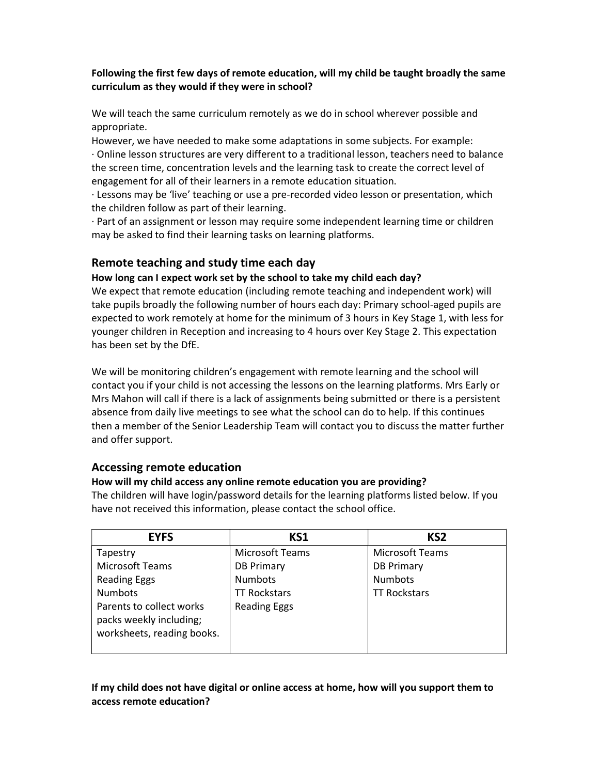### Following the first few days of remote education, will my child be taught broadly the same curriculum as they would if they were in school?

We will teach the same curriculum remotely as we do in school wherever possible and appropriate.

However, we have needed to make some adaptations in some subjects. For example: · Online lesson structures are very different to a traditional lesson, teachers need to balance the screen time, concentration levels and the learning task to create the correct level of engagement for all of their learners in a remote education situation.

· Lessons may be 'live' teaching or use a pre-recorded video lesson or presentation, which the children follow as part of their learning.

· Part of an assignment or lesson may require some independent learning time or children may be asked to find their learning tasks on learning platforms.

## Remote teaching and study time each day

### How long can I expect work set by the school to take my child each day?

We expect that remote education (including remote teaching and independent work) will take pupils broadly the following number of hours each day: Primary school-aged pupils are expected to work remotely at home for the minimum of 3 hours in Key Stage 1, with less for younger children in Reception and increasing to 4 hours over Key Stage 2. This expectation has been set by the DfE.

We will be monitoring children's engagement with remote learning and the school will contact you if your child is not accessing the lessons on the learning platforms. Mrs Early or Mrs Mahon will call if there is a lack of assignments being submitted or there is a persistent absence from daily live meetings to see what the school can do to help. If this continues then a member of the Senior Leadership Team will contact you to discuss the matter further and offer support.

## Accessing remote education

### How will my child access any online remote education you are providing?

The children will have login/password details for the learning platforms listed below. If you have not received this information, please contact the school office.

| <b>EYFS</b>                                                                       | KS1                    | KS <sub>2</sub>     |
|-----------------------------------------------------------------------------------|------------------------|---------------------|
| Tapestry                                                                          | <b>Microsoft Teams</b> | Microsoft Teams     |
| <b>Microsoft Teams</b>                                                            | <b>DB Primary</b>      | <b>DB Primary</b>   |
| <b>Reading Eggs</b>                                                               | <b>Numbots</b>         | <b>Numbots</b>      |
| <b>Numbots</b>                                                                    | <b>TT Rockstars</b>    | <b>TT Rockstars</b> |
| Parents to collect works<br>packs weekly including;<br>worksheets, reading books. | <b>Reading Eggs</b>    |                     |

### If my child does not have digital or online access at home, how will you support them to access remote education?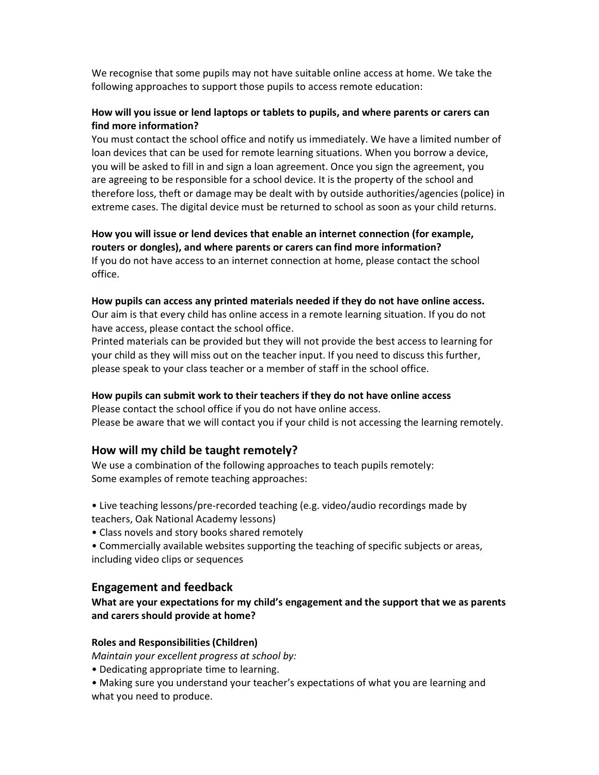We recognise that some pupils may not have suitable online access at home. We take the following approaches to support those pupils to access remote education:

#### How will you issue or lend laptops or tablets to pupils, and where parents or carers can find more information?

You must contact the school office and notify us immediately. We have a limited number of loan devices that can be used for remote learning situations. When you borrow a device, you will be asked to fill in and sign a loan agreement. Once you sign the agreement, you are agreeing to be responsible for a school device. It is the property of the school and therefore loss, theft or damage may be dealt with by outside authorities/agencies (police) in extreme cases. The digital device must be returned to school as soon as your child returns.

How you will issue or lend devices that enable an internet connection (for example, routers or dongles), and where parents or carers can find more information? If you do not have access to an internet connection at home, please contact the school office.

#### How pupils can access any printed materials needed if they do not have online access.

Our aim is that every child has online access in a remote learning situation. If you do not have access, please contact the school office.

Printed materials can be provided but they will not provide the best access to learning for your child as they will miss out on the teacher input. If you need to discuss this further, please speak to your class teacher or a member of staff in the school office.

#### How pupils can submit work to their teachers if they do not have online access

Please contact the school office if you do not have online access. Please be aware that we will contact you if your child is not accessing the learning remotely.

### How will my child be taught remotely?

We use a combination of the following approaches to teach pupils remotely: Some examples of remote teaching approaches:

- Live teaching lessons/pre-recorded teaching (e.g. video/audio recordings made by teachers, Oak National Academy lessons)
- Class novels and story books shared remotely
- Commercially available websites supporting the teaching of specific subjects or areas, including video clips or sequences

#### Engagement and feedback

What are your expectations for my child's engagement and the support that we as parents and carers should provide at home?

#### Roles and Responsibilities (Children)

Maintain your excellent progress at school by:

- Dedicating appropriate time to learning.
- Making sure you understand your teacher's expectations of what you are learning and what you need to produce.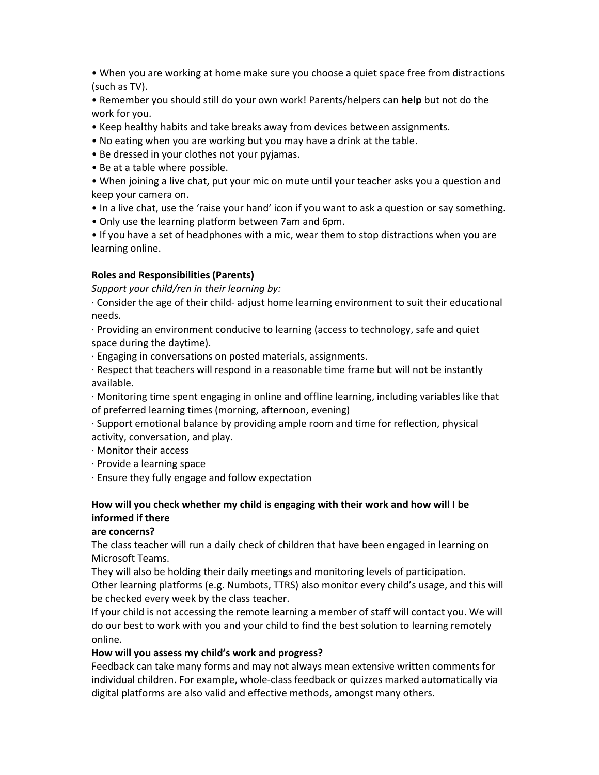• When you are working at home make sure you choose a quiet space free from distractions (such as TV).

• Remember you should still do your own work! Parents/helpers can help but not do the work for you.

- Keep healthy habits and take breaks away from devices between assignments.
- No eating when you are working but you may have a drink at the table.
- Be dressed in your clothes not your pyjamas.
- Be at a table where possible.
- When joining a live chat, put your mic on mute until your teacher asks you a question and keep your camera on.
- In a live chat, use the 'raise your hand' icon if you want to ask a question or say something.
- Only use the learning platform between 7am and 6pm.

• If you have a set of headphones with a mic, wear them to stop distractions when you are learning online.

#### Roles and Responsibilities (Parents)

Support your child/ren in their learning by:

· Consider the age of their child- adjust home learning environment to suit their educational needs.

· Providing an environment conducive to learning (access to technology, safe and quiet space during the daytime).

· Engaging in conversations on posted materials, assignments.

· Respect that teachers will respond in a reasonable time frame but will not be instantly available.

· Monitoring time spent engaging in online and offline learning, including variables like that of preferred learning times (morning, afternoon, evening)

· Support emotional balance by providing ample room and time for reflection, physical activity, conversation, and play.

- · Monitor their access
- · Provide a learning space

· Ensure they fully engage and follow expectation

### How will you check whether my child is engaging with their work and how will I be informed if there

#### are concerns?

The class teacher will run a daily check of children that have been engaged in learning on Microsoft Teams.

They will also be holding their daily meetings and monitoring levels of participation. Other learning platforms (e.g. Numbots, TTRS) also monitor every child's usage, and this will be checked every week by the class teacher.

If your child is not accessing the remote learning a member of staff will contact you. We will do our best to work with you and your child to find the best solution to learning remotely online.

### How will you assess my child's work and progress?

Feedback can take many forms and may not always mean extensive written comments for individual children. For example, whole-class feedback or quizzes marked automatically via digital platforms are also valid and effective methods, amongst many others.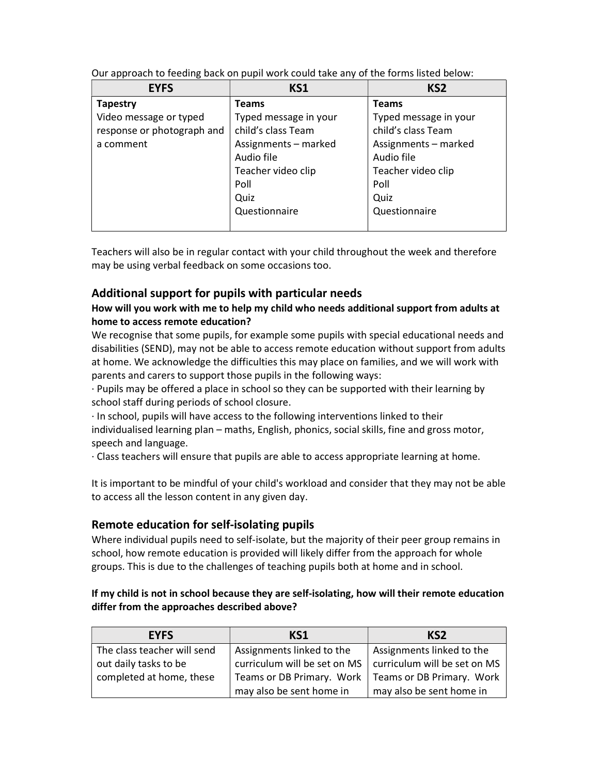| <b>EYFS</b>                | KS1                   | KS <sub>2</sub>       |
|----------------------------|-----------------------|-----------------------|
| <b>Tapestry</b>            | <b>Teams</b>          | <b>Teams</b>          |
| Video message or typed     | Typed message in your | Typed message in your |
| response or photograph and | child's class Team    | child's class Team    |
| a comment                  | Assignments - marked  | Assignments - marked  |
|                            | Audio file            | Audio file            |
|                            | Teacher video clip    | Teacher video clip    |
|                            | Poll                  | Poll                  |
|                            | Quiz                  | Quiz                  |
|                            | Questionnaire         | Questionnaire         |
|                            |                       |                       |

Our approach to feeding back on pupil work could take any of the forms listed below:

Teachers will also be in regular contact with your child throughout the week and therefore may be using verbal feedback on some occasions too.

## Additional support for pupils with particular needs

### How will you work with me to help my child who needs additional support from adults at home to access remote education?

We recognise that some pupils, for example some pupils with special educational needs and disabilities (SEND), may not be able to access remote education without support from adults at home. We acknowledge the difficulties this may place on families, and we will work with parents and carers to support those pupils in the following ways:

· Pupils may be offered a place in school so they can be supported with their learning by school staff during periods of school closure.

· In school, pupils will have access to the following interventions linked to their individualised learning plan – maths, English, phonics, social skills, fine and gross motor, speech and language.

· Class teachers will ensure that pupils are able to access appropriate learning at home.

It is important to be mindful of your child's workload and consider that they may not be able to access all the lesson content in any given day.

## Remote education for self-isolating pupils

Where individual pupils need to self-isolate, but the majority of their peer group remains in school, how remote education is provided will likely differ from the approach for whole groups. This is due to the challenges of teaching pupils both at home and in school.

### If my child is not in school because they are self-isolating, how will their remote education differ from the approaches described above?

| <b>EYFS</b>                 | KS1                                                         | KS <sub>2</sub>           |
|-----------------------------|-------------------------------------------------------------|---------------------------|
| The class teacher will send | Assignments linked to the                                   | Assignments linked to the |
| out daily tasks to be       | curriculum will be set on MS   curriculum will be set on MS |                           |
| completed at home, these    | Teams or DB Primary. Work                                   | Teams or DB Primary. Work |
|                             | may also be sent home in                                    | may also be sent home in  |